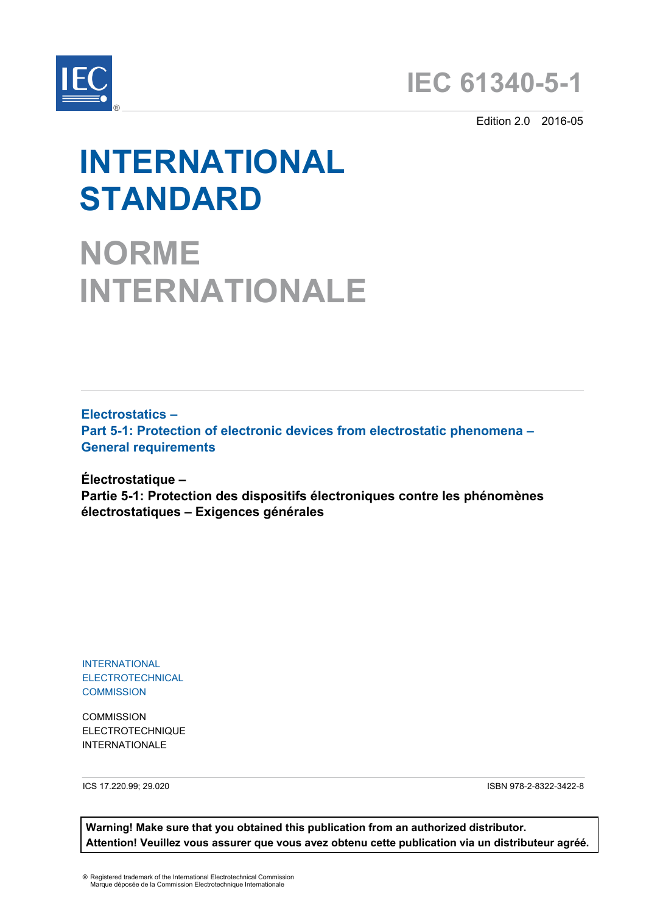



Edition 2.0 2016-05

# **INTERNATIONAL STANDARD**

**NORME INTERNATIONALE**

**Electrostatics – Part 5-1: Protection of electronic devices from electrostatic phenomena – General requirements** 

**Électrostatique – Partie 5-1: Protection des dispositifs électroniques contre les phénomènes électrostatiques – Exigences générales**

INTERNATIONAL ELECTROTECHNICAL **COMMISSION** 

**COMMISSION** ELECTROTECHNIQUE INTERNATIONALE

ICS 17.220.99; 29.020 ISBN 978-2-8322-3422-8

**Warning! Make sure that you obtained this publication from an authorized distributor. Attention! Veuillez vous assurer que vous avez obtenu cette publication via un distributeur agréé.**

® Registered trademark of the International Electrotechnical Commission Marque déposée de la Commission Electrotechnique Internationale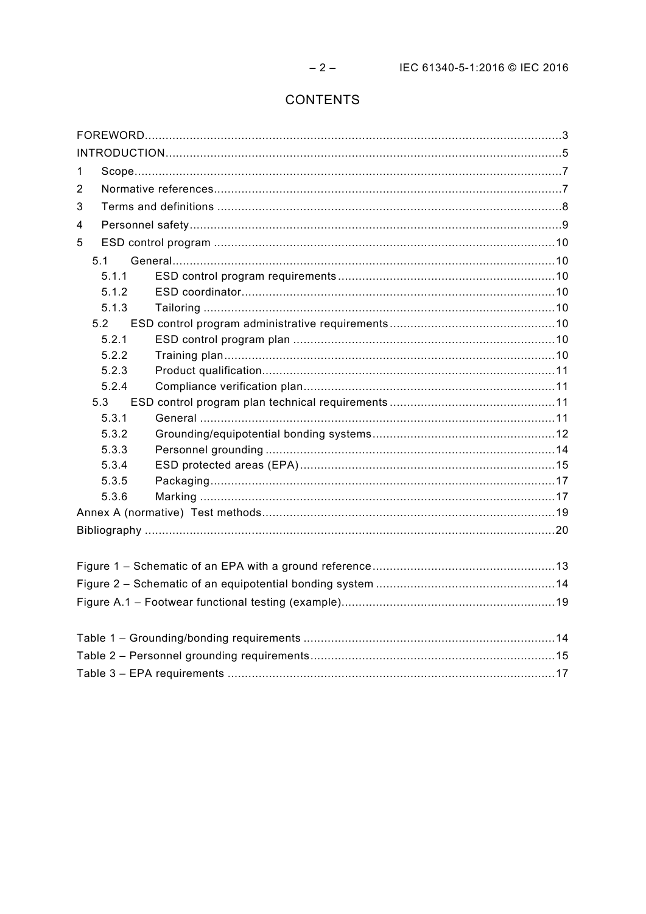# CONTENTS

| 1   |       |  |  |  |  |  |
|-----|-------|--|--|--|--|--|
| 2   |       |  |  |  |  |  |
| 3   |       |  |  |  |  |  |
| 4   |       |  |  |  |  |  |
| 5   |       |  |  |  |  |  |
| 5.1 |       |  |  |  |  |  |
|     | 5.1.1 |  |  |  |  |  |
|     | 5.1.2 |  |  |  |  |  |
|     | 5.1.3 |  |  |  |  |  |
| 5.2 |       |  |  |  |  |  |
|     | 5.2.1 |  |  |  |  |  |
|     | 5.2.2 |  |  |  |  |  |
|     | 5.2.3 |  |  |  |  |  |
|     | 5.2.4 |  |  |  |  |  |
| 5.3 |       |  |  |  |  |  |
|     | 5.3.1 |  |  |  |  |  |
|     | 5.3.2 |  |  |  |  |  |
|     | 5.3.3 |  |  |  |  |  |
|     | 5.3.4 |  |  |  |  |  |
|     | 5.3.5 |  |  |  |  |  |
|     | 5.3.6 |  |  |  |  |  |
|     |       |  |  |  |  |  |
|     |       |  |  |  |  |  |
|     |       |  |  |  |  |  |
|     |       |  |  |  |  |  |
|     |       |  |  |  |  |  |
|     |       |  |  |  |  |  |
|     |       |  |  |  |  |  |
|     |       |  |  |  |  |  |
|     |       |  |  |  |  |  |
|     |       |  |  |  |  |  |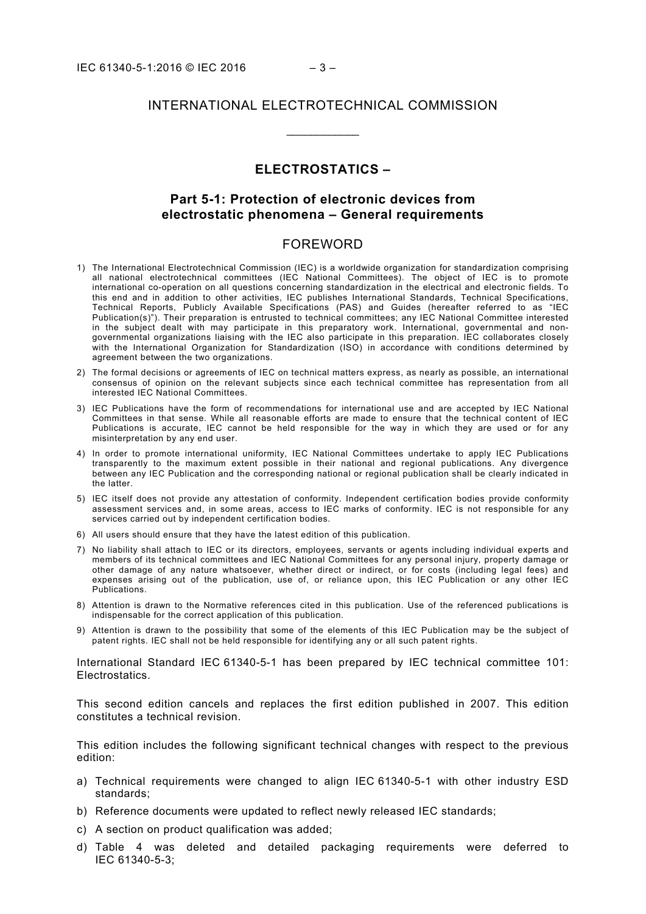## INTERNATIONAL ELECTROTECHNICAL COMMISSION

\_\_\_\_\_\_\_\_\_\_\_\_

# **ELECTROSTATICS –**

## **Part 5-1: Protection of electronic devices from electrostatic phenomena – General requirements**

### FOREWORD

- <span id="page-2-0"></span>1) The International Electrotechnical Commission (IEC) is a worldwide organization for standardization comprising all national electrotechnical committees (IEC National Committees). The object of IEC is to promote international co-operation on all questions concerning standardization in the electrical and electronic fields. To this end and in addition to other activities, IEC publishes International Standards, Technical Specifications, Technical Reports, Publicly Available Specifications (PAS) and Guides (hereafter referred to as "IEC Publication(s)"). Their preparation is entrusted to technical committees; any IEC National Committee interested in the subject dealt with may participate in this preparatory work. International, governmental and nongovernmental organizations liaising with the IEC also participate in this preparation. IEC collaborates closely with the International Organization for Standardization (ISO) in accordance with conditions determined by agreement between the two organizations.
- 2) The formal decisions or agreements of IEC on technical matters express, as nearly as possible, an international consensus of opinion on the relevant subjects since each technical committee has representation from all interested IEC National Committees.
- 3) IEC Publications have the form of recommendations for international use and are accepted by IEC National Committees in that sense. While all reasonable efforts are made to ensure that the technical content of IEC Publications is accurate, IEC cannot be held responsible for the way in which they are used or for any misinterpretation by any end user.
- 4) In order to promote international uniformity, IEC National Committees undertake to apply IEC Publications transparently to the maximum extent possible in their national and regional publications. Any divergence between any IEC Publication and the corresponding national or regional publication shall be clearly indicated in the latter.
- 5) IEC itself does not provide any attestation of conformity. Independent certification bodies provide conformity assessment services and, in some areas, access to IEC marks of conformity. IEC is not responsible for any services carried out by independent certification bodies.
- 6) All users should ensure that they have the latest edition of this publication.
- 7) No liability shall attach to IEC or its directors, employees, servants or agents including individual experts and members of its technical committees and IEC National Committees for any personal injury, property damage or other damage of any nature whatsoever, whether direct or indirect, or for costs (including legal fees) and expenses arising out of the publication, use of, or reliance upon, this IEC Publication or any other IEC Publications.
- 8) Attention is drawn to the Normative references cited in this publication. Use of the referenced publications is indispensable for the correct application of this publication.
- 9) Attention is drawn to the possibility that some of the elements of this IEC Publication may be the subject of patent rights. IEC shall not be held responsible for identifying any or all such patent rights.

International Standard IEC 61340-5-1 has been prepared by IEC technical committee 101: Electrostatics.

This second edition cancels and replaces the first edition published in 2007. This edition constitutes a technical revision.

This edition includes the following significant technical changes with respect to the previous edition:

- a) Technical requirements were changed to align IEC 61340-5-1 with other industry ESD standards;
- b) Reference documents were updated to reflect newly released IEC standards;
- c) A section on product qualification was added;
- d) Table 4 was deleted and detailed packaging requirements were deferred to IEC 61340-5-3;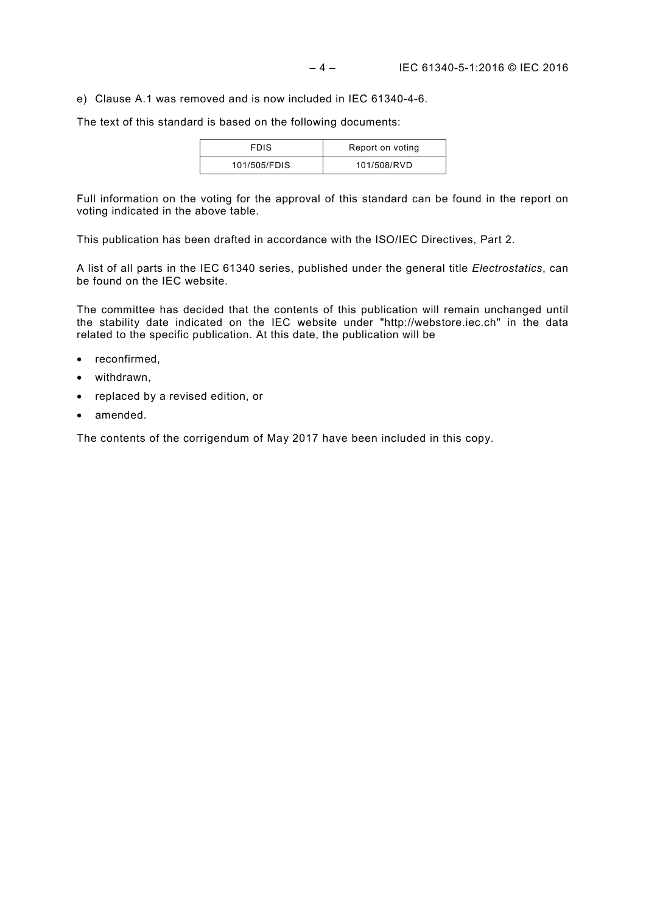e) Clause A.1 was removed and is now included in IEC 61340-4-6.

The text of this standard is based on the following documents:

| <b>FDIS</b>  | Report on voting |
|--------------|------------------|
| 101/505/FDIS | 101/508/RVD      |

Full information on the voting for the approval of this standard can be found in the report on voting indicated in the above table.

This publication has been drafted in accordance with the ISO/IEC Directives, Part 2.

A list of all parts in the IEC 61340 series, published under the general title *Electrostatics*, can be found on the IEC website.

The committee has decided that the contents of this publication will remain unchanged until the stability date indicated on the IEC website under "http://webstore.iec.ch" in the data related to the specific publication. At this date, the publication will be

- reconfirmed,
- withdrawn,
- replaced by a revised edition, or
- amended.

The contents of the corrigendum of May 2017 have been included in this copy.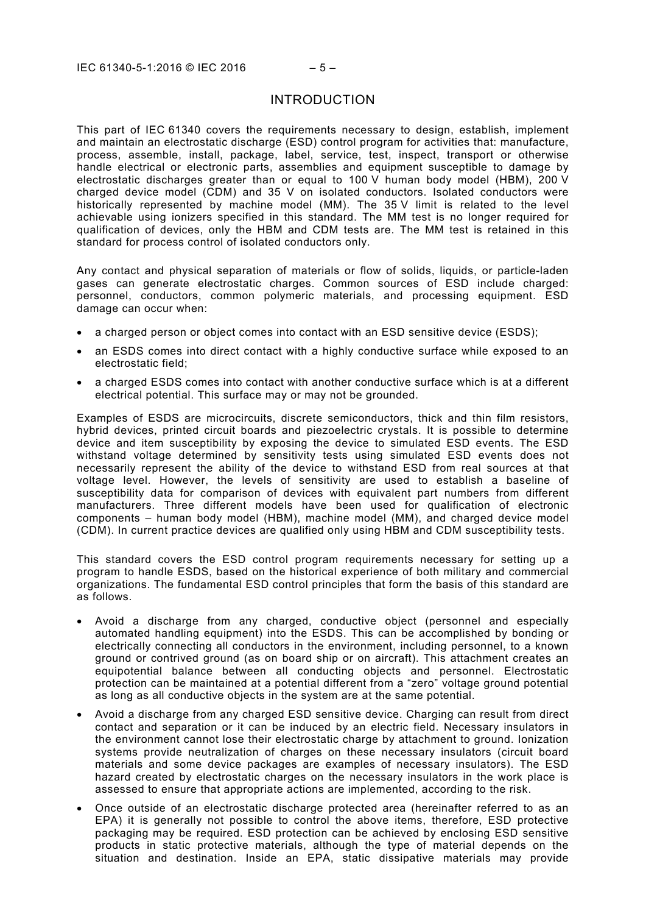## INTRODUCTION

<span id="page-4-0"></span>This part of IEC 61340 covers the requirements necessary to design, establish, implement and maintain an electrostatic discharge (ESD) control program for activities that: manufacture, process, assemble, install, package, label, service, test, inspect, transport or otherwise handle electrical or electronic parts, assemblies and equipment susceptible to damage by electrostatic discharges greater than or equal to 100 V human body model (HBM), 200 V charged device model (CDM) and 35 V on isolated conductors. Isolated conductors were historically represented by machine model (MM). The 35 V limit is related to the level achievable using ionizers specified in this standard. The MM test is no longer required for qualification of devices, only the HBM and CDM tests are. The MM test is retained in this standard for process control of isolated conductors only.

Any contact and physical separation of materials or flow of solids, liquids, or particle-laden gases can generate electrostatic charges. Common sources of ESD include charged: personnel, conductors, common polymeric materials, and processing equipment. ESD damage can occur when:

- a charged person or object comes into contact with an ESD sensitive device (ESDS);
- an ESDS comes into direct contact with a highly conductive surface while exposed to an electrostatic field;
- a charged ESDS comes into contact with another conductive surface which is at a different electrical potential. This surface may or may not be grounded.

Examples of ESDS are microcircuits, discrete semiconductors, thick and thin film resistors, hybrid devices, printed circuit boards and piezoelectric crystals. It is possible to determine device and item susceptibility by exposing the device to simulated ESD events. The ESD withstand voltage determined by sensitivity tests using simulated ESD events does not necessarily represent the ability of the device to withstand ESD from real sources at that voltage level. However, the levels of sensitivity are used to establish a baseline of susceptibility data for comparison of devices with equivalent part numbers from different manufacturers. Three different models have been used for qualification of electronic components – human body model (HBM), machine model (MM), and charged device model (CDM). In current practice devices are qualified only using HBM and CDM susceptibility tests.

This standard covers the ESD control program requirements necessary for setting up a program to handle ESDS, based on the historical experience of both military and commercial organizations. The fundamental ESD control principles that form the basis of this standard are as follows.

- Avoid a discharge from any charged, conductive object (personnel and especially automated handling equipment) into the ESDS. This can be accomplished by bonding or electrically connecting all conductors in the environment, including personnel, to a known ground or contrived ground (as on board ship or on aircraft). This attachment creates an equipotential balance between all conducting objects and personnel. Electrostatic protection can be maintained at a potential different from a "zero" voltage ground potential as long as all conductive objects in the system are at the same potential.
- Avoid a discharge from any charged ESD sensitive device. Charging can result from direct contact and separation or it can be induced by an electric field. Necessary insulators in the environment cannot lose their electrostatic charge by attachment to ground. Ionization systems provide neutralization of charges on these necessary insulators (circuit board materials and some device packages are examples of necessary insulators). The ESD hazard created by electrostatic charges on the necessary insulators in the work place is assessed to ensure that appropriate actions are implemented, according to the risk.
- Once outside of an electrostatic discharge protected area (hereinafter referred to as an EPA) it is generally not possible to control the above items, therefore, ESD protective packaging may be required. ESD protection can be achieved by enclosing ESD sensitive products in static protective materials, although the type of material depends on the situation and destination. Inside an EPA, static dissipative materials may provide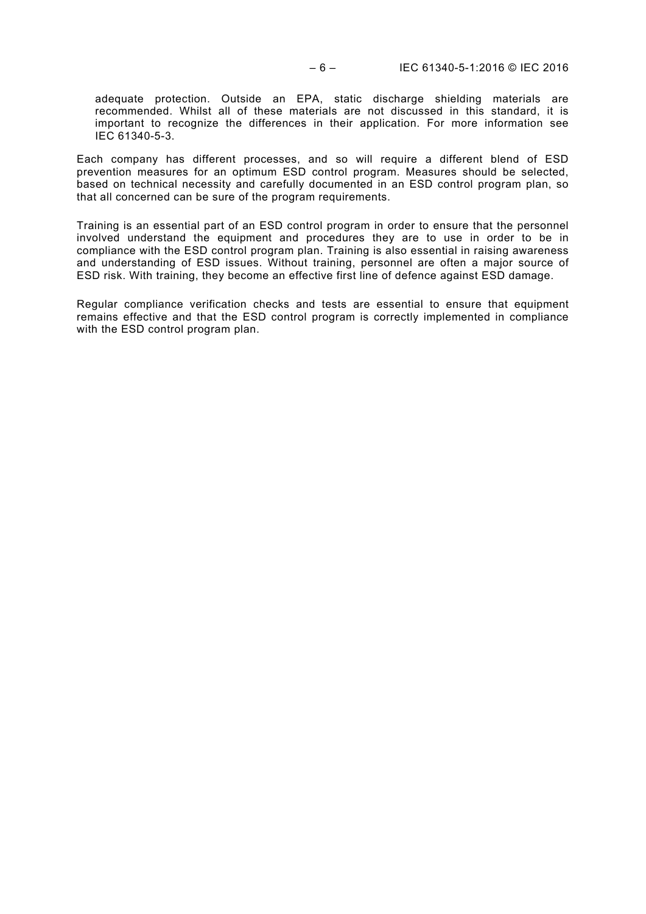adequate protection. Outside an EPA, static discharge shielding materials are recommended. Whilst all of these materials are not discussed in this standard, it is important to recognize the differences in their application. For more information see IEC 61340-5-3.

Each company has different processes, and so will require a different blend of ESD prevention measures for an optimum ESD control program. Measures should be selected, based on technical necessity and carefully documented in an ESD control program plan, so that all concerned can be sure of the program requirements.

Training is an essential part of an ESD control program in order to ensure that the personnel involved understand the equipment and procedures they are to use in order to be in compliance with the ESD control program plan. Training is also essential in raising awareness and understanding of ESD issues. Without training, personnel are often a major source of ESD risk. With training, they become an effective first line of defence against ESD damage.

Regular compliance verification checks and tests are essential to ensure that equipment remains effective and that the ESD control program is correctly implemented in compliance with the ESD control program plan.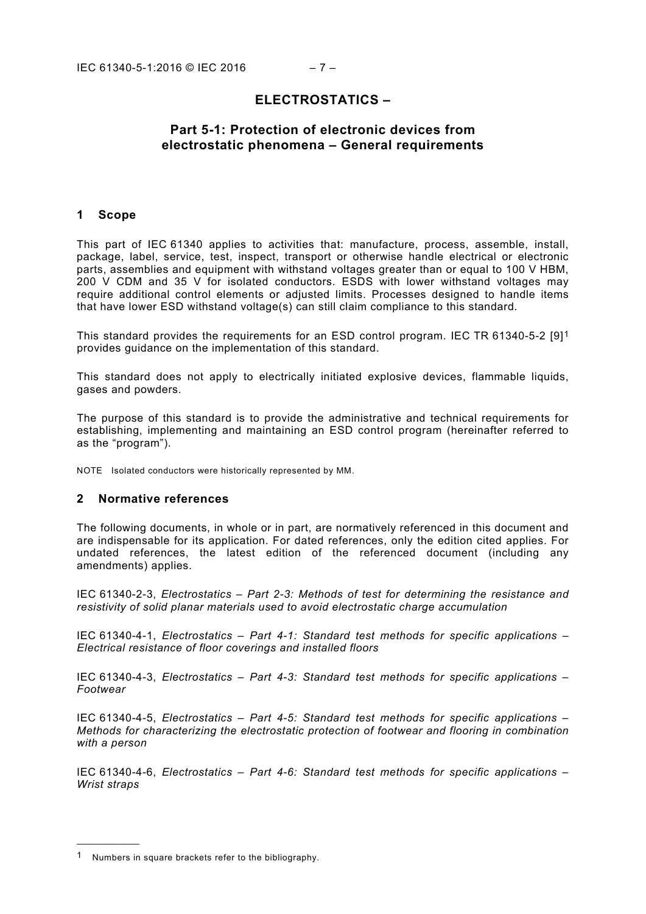# **ELECTROSTATICS –**

# **Part 5-1: Protection of electronic devices from electrostatic phenomena – General requirements**

#### <span id="page-6-0"></span>**1 Scope**

This part of IEC 61340 applies to activities that: manufacture, process, assemble, install, package, label, service, test, inspect, transport or otherwise handle electrical or electronic parts, assemblies and equipment with withstand voltages greater than or equal to 100 V HBM, 200 V CDM and 35 V for isolated conductors. ESDS with lower withstand voltages may require additional control elements or adjusted limits. Processes designed to handle items that have lower ESD withstand voltage(s) can still claim compliance to this standard.

This standard provides the requirements for an ESD control program. IEC TR 61340-5-2 [9][1](#page-6-2) provides guidance on the implementation of this standard.

This standard does not apply to electrically initiated explosive devices, flammable liquids, gases and powders.

The purpose of this standard is to provide the administrative and technical requirements for establishing, implementing and maintaining an ESD control program (hereinafter referred to as the "program").

NOTE Isolated conductors were historically represented by MM.

#### <span id="page-6-1"></span>**2 Normative references**

The following documents, in whole or in part, are normatively referenced in this document and are indispensable for its application. For dated references, only the edition cited applies. For undated references, the latest edition of the referenced document (including any amendments) applies.

IEC 61340-2-3, *Electrostatics – Part 2-3: Methods of test for determining the resistance and resistivity of solid planar materials used to avoid electrostatic charge accumulation*

IEC 61340-4-1, *Electrostatics – Part 4-1: Standard test methods for specific applications – Electrical resistance of floor coverings and installed floors*

IEC 61340-4-3, *Electrostatics – Part 4-3: Standard test methods for specific applications – Footwear*

IEC 61340-4-5, *Electrostatics – Part 4-5: Standard test methods for specific applications – Methods for characterizing the electrostatic protection of footwear and flooring in combination with a person*

IEC 61340-4-6, *Electrostatics – Part 4-6: Standard test methods for specific applications – Wrist straps*

 $\overline{\phantom{a}}$ 

<span id="page-6-2"></span><sup>1</sup> Numbers in square brackets refer to the bibliography.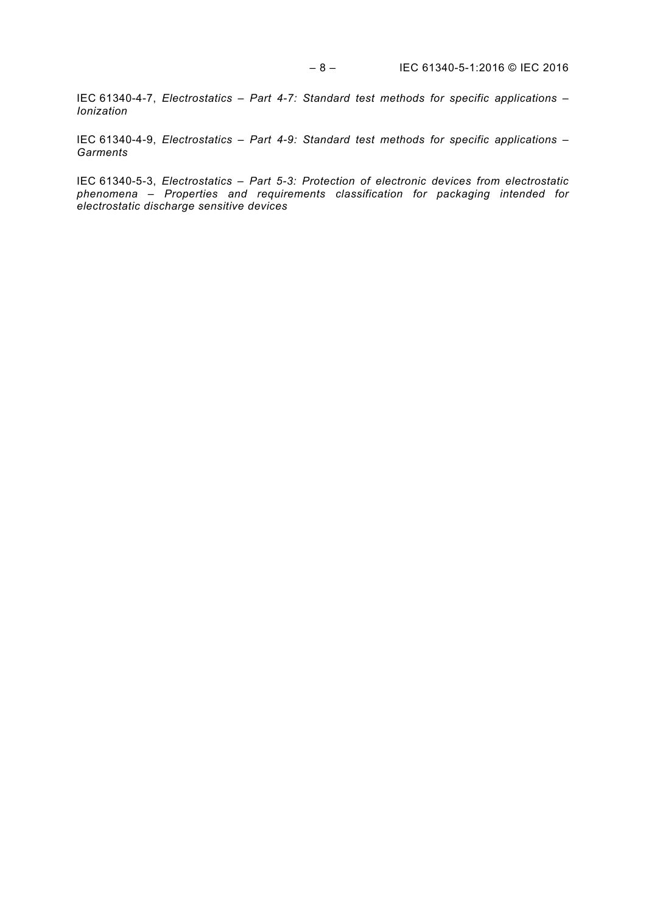IEC 61340-4-7, *Electrostatics – Part 4-7: Standard test methods for specific applications – Ionization*

IEC 61340-4-9, *Electrostatics – Part 4-9: Standard test methods for specific applications – Garments*

<span id="page-7-0"></span>IEC 61340-5-3, *Electrostatics – Part 5-3: Protection of electronic devices from electrostatic phenomena – Properties and requirements classification for packaging intended for electrostatic discharge sensitive devices*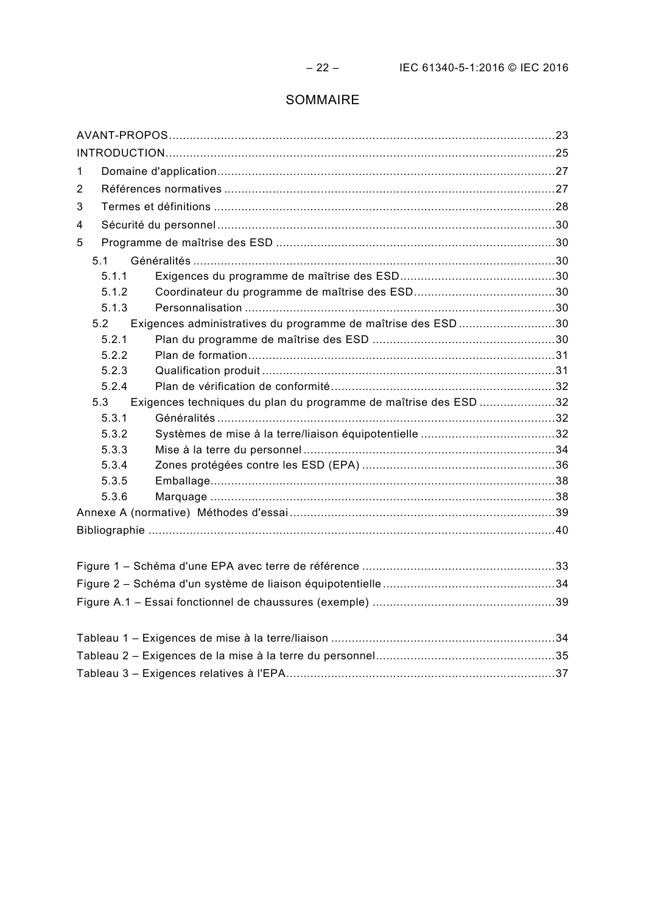# SOMMAIRE

| 1     |                                                                  |  |  |  |  |
|-------|------------------------------------------------------------------|--|--|--|--|
| 2     |                                                                  |  |  |  |  |
| 3     |                                                                  |  |  |  |  |
| 4     |                                                                  |  |  |  |  |
| 5     |                                                                  |  |  |  |  |
| 5.1   |                                                                  |  |  |  |  |
| 5.1.1 |                                                                  |  |  |  |  |
| 5.1.2 |                                                                  |  |  |  |  |
| 5.1.3 |                                                                  |  |  |  |  |
| 5.2   | Exigences administratives du programme de maîtrise des ESD30     |  |  |  |  |
| 5.2.1 |                                                                  |  |  |  |  |
| 5.2.2 |                                                                  |  |  |  |  |
| 5.2.3 |                                                                  |  |  |  |  |
| 5.2.4 |                                                                  |  |  |  |  |
| 5.3   | Exigences techniques du plan du programme de maîtrise des ESD 32 |  |  |  |  |
| 5.3.1 |                                                                  |  |  |  |  |
| 5.3.2 |                                                                  |  |  |  |  |
| 5.3.3 |                                                                  |  |  |  |  |
| 5.3.4 |                                                                  |  |  |  |  |
| 5.3.5 |                                                                  |  |  |  |  |
| 5.3.6 |                                                                  |  |  |  |  |
|       |                                                                  |  |  |  |  |
|       |                                                                  |  |  |  |  |
|       |                                                                  |  |  |  |  |
|       |                                                                  |  |  |  |  |
|       |                                                                  |  |  |  |  |
|       |                                                                  |  |  |  |  |
|       |                                                                  |  |  |  |  |
|       |                                                                  |  |  |  |  |
|       |                                                                  |  |  |  |  |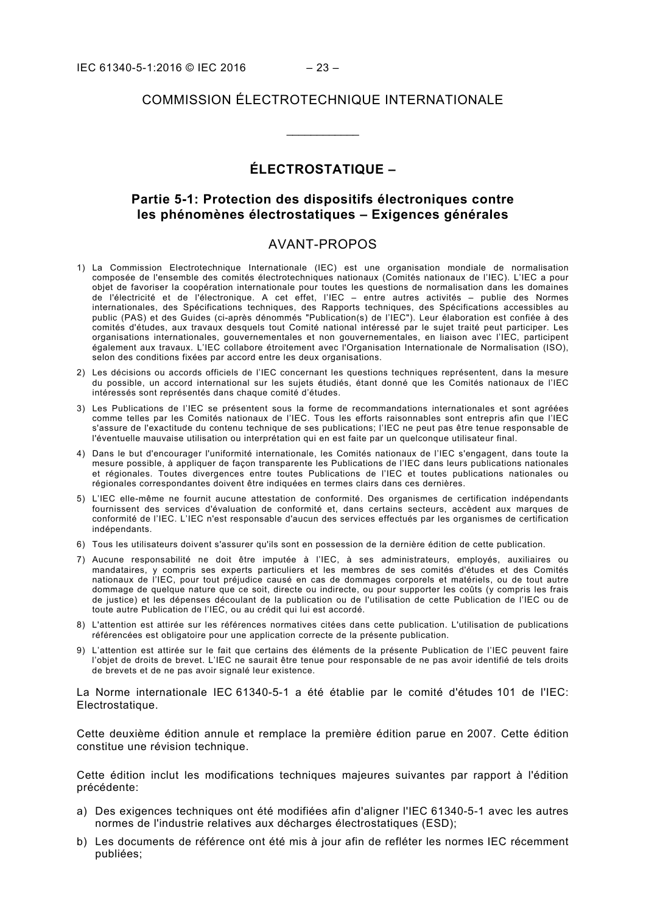# COMMISSION ÉLECTROTECHNIQUE INTERNATIONALE

\_\_\_\_\_\_\_\_\_\_\_\_

# **ÉLECTROSTATIQUE –**

## **Partie 5-1: Protection des dispositifs électroniques contre les phénomènes électrostatiques – Exigences générales**

### AVANT-PROPOS

- <span id="page-9-0"></span>1) La Commission Electrotechnique Internationale (IEC) est une organisation mondiale de normalisation composée de l'ensemble des comités électrotechniques nationaux (Comités nationaux de l'IEC). L'IEC a pour objet de favoriser la coopération internationale pour toutes les questions de normalisation dans les domaines de l'électricité et de l'électronique. A cet effet, l'IEC – entre autres activités – publie des Normes internationales, des Spécifications techniques, des Rapports techniques, des Spécifications accessibles au public (PAS) et des Guides (ci-après dénommés "Publication(s) de l'IEC"). Leur élaboration est confiée à des comités d'études, aux travaux desquels tout Comité national intéressé par le sujet traité peut participer. Les organisations internationales, gouvernementales et non gouvernementales, en liaison avec l'IEC, participent également aux travaux. L'IEC collabore étroitement avec l'Organisation Internationale de Normalisation (ISO), selon des conditions fixées par accord entre les deux organisations.
- 2) Les décisions ou accords officiels de l'IEC concernant les questions techniques représentent, dans la mesure du possible, un accord international sur les sujets étudiés, étant donné que les Comités nationaux de l'IEC intéressés sont représentés dans chaque comité d'études.
- 3) Les Publications de l'IEC se présentent sous la forme de recommandations internationales et sont agréées comme telles par les Comités nationaux de l'IEC. Tous les efforts raisonnables sont entrepris afin que l'IEC s'assure de l'exactitude du contenu technique de ses publications; l'IEC ne peut pas être tenue responsable de l'éventuelle mauvaise utilisation ou interprétation qui en est faite par un quelconque utilisateur final.
- 4) Dans le but d'encourager l'uniformité internationale, les Comités nationaux de l'IEC s'engagent, dans toute la mesure possible, à appliquer de façon transparente les Publications de l'IEC dans leurs publications nationales et régionales. Toutes divergences entre toutes Publications de l'IEC et toutes publications nationales ou régionales correspondantes doivent être indiquées en termes clairs dans ces dernières.
- 5) L'IEC elle-même ne fournit aucune attestation de conformité. Des organismes de certification indépendants fournissent des services d'évaluation de conformité et, dans certains secteurs, accèdent aux marques de conformité de l'IEC. L'IEC n'est responsable d'aucun des services effectués par les organismes de certification indépendants.
- 6) Tous les utilisateurs doivent s'assurer qu'ils sont en possession de la dernière édition de cette publication.
- 7) Aucune responsabilité ne doit être imputée à l'IEC, à ses administrateurs, employés, auxiliaires ou mandataires, y compris ses experts particuliers et les membres de ses comités d'études et des Comités nationaux de l'IEC, pour tout préjudice causé en cas de dommages corporels et matériels, ou de tout autre dommage de quelque nature que ce soit, directe ou indirecte, ou pour supporter les coûts (y compris les frais de justice) et les dépenses découlant de la publication ou de l'utilisation de cette Publication de l'IEC ou de toute autre Publication de l'IEC, ou au crédit qui lui est accordé.
- 8) L'attention est attirée sur les références normatives citées dans cette publication. L'utilisation de publications référencées est obligatoire pour une application correcte de la présente publication.
- 9) L'attention est attirée sur le fait que certains des éléments de la présente Publication de l'IEC peuvent faire l'objet de droits de brevet. L'IEC ne saurait être tenue pour responsable de ne pas avoir identifié de tels droits de brevets et de ne pas avoir signalé leur existence.

La Norme internationale IEC 61340-5-1 a été établie par le comité d'études 101 de l'IEC: Electrostatique.

Cette deuxième édition annule et remplace la première édition parue en 2007. Cette édition constitue une révision technique.

Cette édition inclut les modifications techniques majeures suivantes par rapport à l'édition précédente:

- a) Des exigences techniques ont été modifiées afin d'aligner l'IEC 61340-5-1 avec les autres normes de l'industrie relatives aux décharges électrostatiques (ESD);
- b) Les documents de référence ont été mis à jour afin de refléter les normes IEC récemment publiées;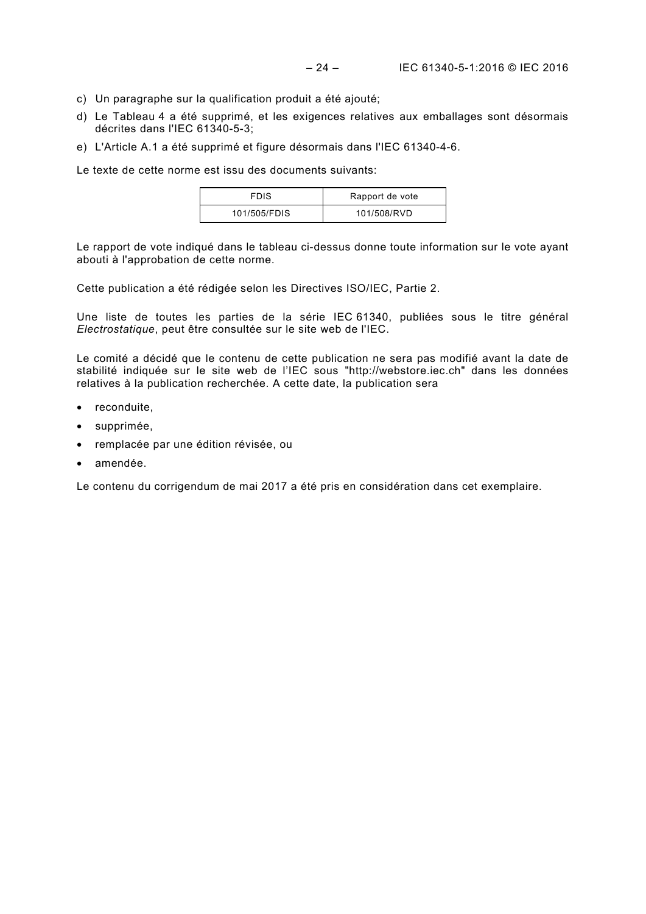- c) Un paragraphe sur la qualification produit a été ajouté;
- d) Le Tableau 4 a été supprimé, et les exigences relatives aux emballages sont désormais décrites dans l'IEC 61340-5-3;
- e) L'Article A.1 a été supprimé et figure désormais dans l'IEC 61340-4-6.

Le texte de cette norme est issu des documents suivants:

| <b>FDIS</b>  | Rapport de vote |
|--------------|-----------------|
| 101/505/FDIS | 101/508/RVD     |

Le rapport de vote indiqué dans le tableau ci-dessus donne toute information sur le vote ayant abouti à l'approbation de cette norme.

Cette publication a été rédigée selon les Directives ISO/IEC, Partie 2.

Une liste de toutes les parties de la série IEC 61340, publiées sous le titre général *Electrostatique*, peut être consultée sur le site web de l'IEC.

Le comité a décidé que le contenu de cette publication ne sera pas modifié avant la date de stabilité indiquée sur le site web de l'IEC sous "http://webstore.iec.ch" dans les données relatives à la publication recherchée. A cette date, la publication sera

- reconduite,
- supprimée,
- remplacée par une édition révisée, ou
- amendée.

Le contenu du corrigendum de mai 2017 a été pris en considération dans cet exemplaire.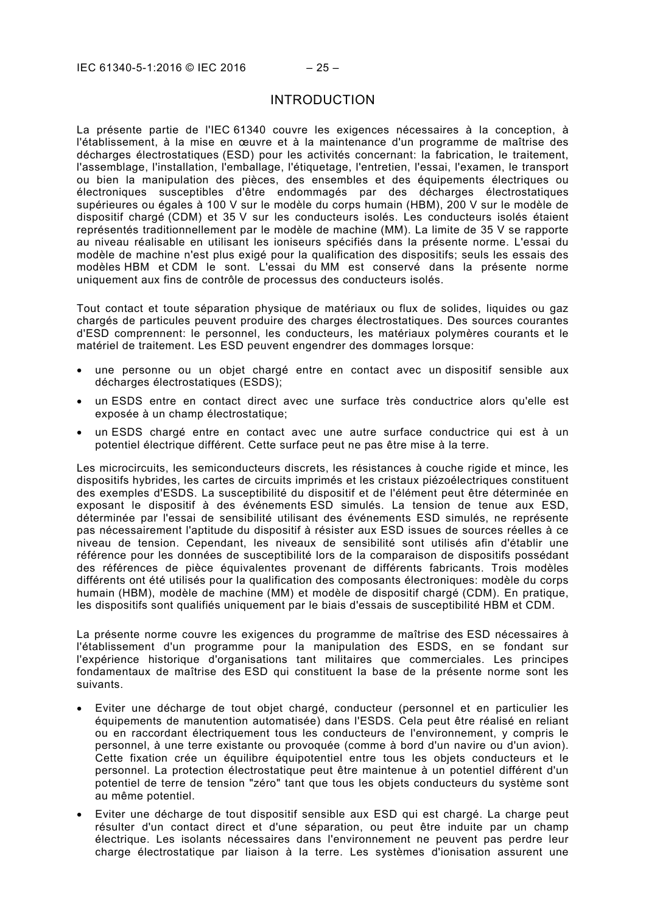## INTRODUCTION

<span id="page-11-0"></span>La présente partie de l'IEC 61340 couvre les exigences nécessaires à la conception, à l'établissement, à la mise en œuvre et à la maintenance d'un programme de maîtrise des décharges électrostatiques (ESD) pour les activités concernant: la fabrication, le traitement, l'assemblage, l'installation, l'emballage, l'étiquetage, l'entretien, l'essai, l'examen, le transport ou bien la manipulation des pièces, des ensembles et des équipements électriques ou électroniques susceptibles d'être endommagés par des décharges électrostatiques supérieures ou égales à 100 V sur le modèle du corps humain (HBM), 200 V sur le modèle de dispositif chargé (CDM) et 35 V sur les conducteurs isolés. Les conducteurs isolés étaient représentés traditionnellement par le modèle de machine (MM). La limite de 35 V se rapporte au niveau réalisable en utilisant les ioniseurs spécifiés dans la présente norme. L'essai du modèle de machine n'est plus exigé pour la qualification des dispositifs; seuls les essais des modèles HBM et CDM le sont. L'essai du MM est conservé dans la présente norme uniquement aux fins de contrôle de processus des conducteurs isolés.

Tout contact et toute séparation physique de matériaux ou flux de solides, liquides ou gaz chargés de particules peuvent produire des charges électrostatiques. Des sources courantes d'ESD comprennent: le personnel, les conducteurs, les matériaux polymères courants et le matériel de traitement. Les ESD peuvent engendrer des dommages lorsque:

- une personne ou un objet chargé entre en contact avec un dispositif sensible aux décharges électrostatiques (ESDS);
- un ESDS entre en contact direct avec une surface très conductrice alors qu'elle est exposée à un champ électrostatique;
- un ESDS chargé entre en contact avec une autre surface conductrice qui est à un potentiel électrique différent. Cette surface peut ne pas être mise à la terre.

Les microcircuits, les semiconducteurs discrets, les résistances à couche rigide et mince, les dispositifs hybrides, les cartes de circuits imprimés et les cristaux piézoélectriques constituent des exemples d'ESDS. La susceptibilité du dispositif et de l'élément peut être déterminée en exposant le dispositif à des événements ESD simulés. La tension de tenue aux ESD, déterminée par l'essai de sensibilité utilisant des événements ESD simulés, ne représente pas nécessairement l'aptitude du dispositif à résister aux ESD issues de sources réelles à ce niveau de tension. Cependant, les niveaux de sensibilité sont utilisés afin d'établir une référence pour les données de susceptibilité lors de la comparaison de dispositifs possédant des références de pièce équivalentes provenant de différents fabricants. Trois modèles différents ont été utilisés pour la qualification des composants électroniques: modèle du corps humain (HBM), modèle de machine (MM) et modèle de dispositif chargé (CDM). En pratique, les dispositifs sont qualifiés uniquement par le biais d'essais de susceptibilité HBM et CDM.

La présente norme couvre les exigences du programme de maîtrise des ESD nécessaires à l'établissement d'un programme pour la manipulation des ESDS, en se fondant sur l'expérience historique d'organisations tant militaires que commerciales. Les principes fondamentaux de maîtrise des ESD qui constituent la base de la présente norme sont les suivants.

- Eviter une décharge de tout objet chargé, conducteur (personnel et en particulier les équipements de manutention automatisée) dans l'ESDS. Cela peut être réalisé en reliant ou en raccordant électriquement tous les conducteurs de l'environnement, y compris le personnel, à une terre existante ou provoquée (comme à bord d'un navire ou d'un avion). Cette fixation crée un équilibre équipotentiel entre tous les objets conducteurs et le personnel. La protection électrostatique peut être maintenue à un potentiel différent d'un potentiel de terre de tension "zéro" tant que tous les objets conducteurs du système sont au même potentiel.
- Eviter une décharge de tout dispositif sensible aux ESD qui est chargé. La charge peut résulter d'un contact direct et d'une séparation, ou peut être induite par un champ électrique. Les isolants nécessaires dans l'environnement ne peuvent pas perdre leur charge électrostatique par liaison à la terre. Les systèmes d'ionisation assurent une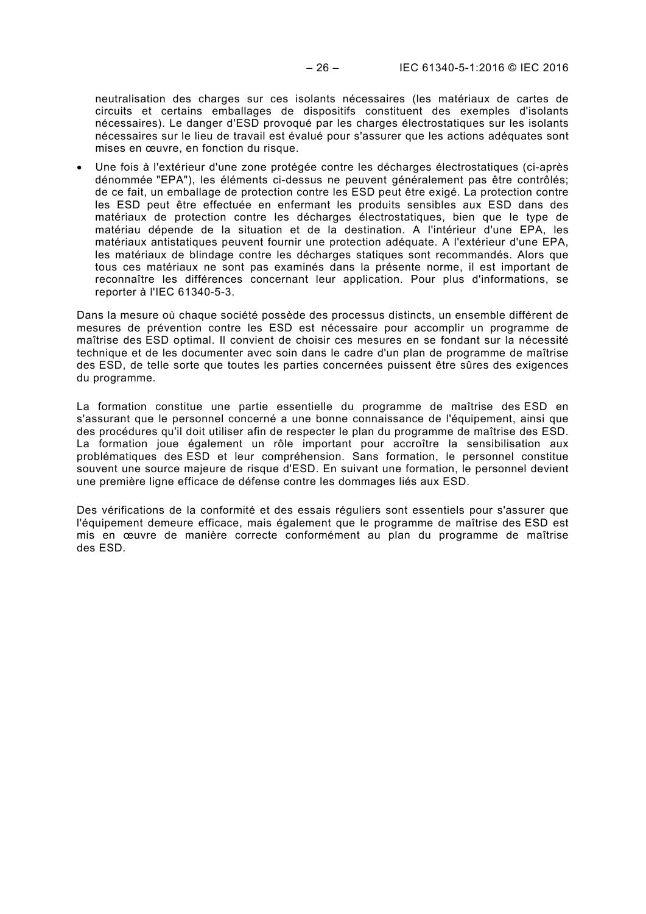neutralisation des charges sur ces isolants nécessaires (les matériaux de cartes de circuits et certains emballages de dispositifs constituent des exemples d'isolants nécessaires). Le danger d'ESD provoqué par les charges électrostatiques sur les isolants nécessaires sur le lieu de travail est évalué pour s'assurer que les actions adéquates sont mises en œuvre, en fonction du risque.

• Une fois à l'extérieur d'une zone protégée contre les décharges électrostatiques (ci-après dénommée "EPA"), les éléments ci-dessus ne peuvent généralement pas être contrôlés; de ce fait, un emballage de protection contre les ESD peut être exigé. La protection contre les ESD peut être effectuée en enfermant les produits sensibles aux ESD dans des matériaux de protection contre les décharges électrostatiques, bien que le type de matériau dépende de la situation et de la destination. A l'intérieur d'une EPA, les matériaux antistatiques peuvent fournir une protection adéquate. A l'extérieur d'une EPA, les matériaux de blindage contre les décharges statiques sont recommandés. Alors que tous ces matériaux ne sont pas examinés dans la présente norme, il est important de reconnaître les différences concernant leur application. Pour plus d'informations, se reporter à l'IEC 61340-5-3.

Dans la mesure où chaque société possède des processus distincts, un ensemble différent de mesures de prévention contre les ESD est nécessaire pour accomplir un programme de maîtrise des ESD optimal. Il convient de choisir ces mesures en se fondant sur la nécessité technique et de les documenter avec soin dans le cadre d'un plan de programme de maîtrise des ESD, de telle sorte que toutes les parties concernées puissent être sûres des exigences du programme.

La formation constitue une partie essentielle du programme de maîtrise des ESD en s'assurant que le personnel concerné a une bonne connaissance de l'équipement, ainsi que des procédures qu'il doit utiliser afin de respecter le plan du programme de maîtrise des ESD. La formation joue également un rôle important pour accroître la sensibilisation aux problématiques des ESD et leur compréhension. Sans formation, le personnel constitue souvent une source majeure de risque d'ESD. En suivant une formation, le personnel devient une première ligne efficace de défense contre les dommages liés aux ESD.

Des vérifications de la conformité et des essais réguliers sont essentiels pour s'assurer que l'équipement demeure efficace, mais également que le programme de maîtrise des ESD est mis en œuvre de manière correcte conformément au plan du programme de maîtrise des ESD.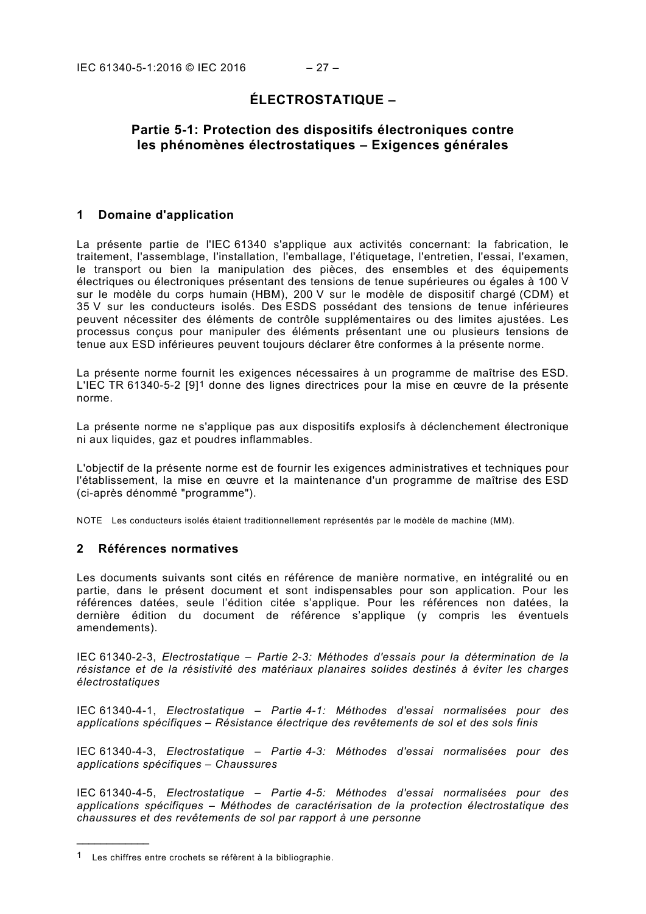# **ÉLECTROSTATIQUE –**

# **Partie 5-1: Protection des dispositifs électroniques contre les phénomènes électrostatiques – Exigences générales**

## <span id="page-13-0"></span>**1 Domaine d'application**

La présente partie de l'IEC 61340 s'applique aux activités concernant: la fabrication, le traitement, l'assemblage, l'installation, l'emballage, l'étiquetage, l'entretien, l'essai, l'examen, le transport ou bien la manipulation des pièces, des ensembles et des équipements électriques ou électroniques présentant des tensions de tenue supérieures ou égales à 100 V sur le modèle du corps humain (HBM), 200 V sur le modèle de dispositif chargé (CDM) et 35 V sur les conducteurs isolés. Des ESDS possédant des tensions de tenue inférieures peuvent nécessiter des éléments de contrôle supplémentaires ou des limites ajustées. Les processus conçus pour manipuler des éléments présentant une ou plusieurs tensions de tenue aux ESD inférieures peuvent toujours déclarer être conformes à la présente norme.

La présente norme fournit les exigences nécessaires à un programme de maîtrise des ESD. L'IEC TR 61340-5-2 [9][1](#page-13-2) donne des lignes directrices pour la mise en œuvre de la présente norme.

La présente norme ne s'applique pas aux dispositifs explosifs à déclenchement électronique ni aux liquides, gaz et poudres inflammables.

L'objectif de la présente norme est de fournir les exigences administratives et techniques pour l'établissement, la mise en œuvre et la maintenance d'un programme de maîtrise des ESD (ci-après dénommé "programme").

NOTE Les conducteurs isolés étaient traditionnellement représentés par le modèle de machine (MM).

## <span id="page-13-1"></span>**2 Références normatives**

Les documents suivants sont cités en référence de manière normative, en intégralité ou en partie, dans le présent document et sont indispensables pour son application. Pour les références datées, seule l'édition citée s'applique. Pour les références non datées, la dernière édition du document de référence s'applique (y compris les éventuels amendements).

IEC 61340-2-3, *Electrostatique – Partie 2-3: Méthodes d'essais pour la détermination de la résistance et de la résistivité des matériaux planaires solides destinés à éviter les charges électrostatiques*

IEC 61340-4-1, *Electrostatique – Partie 4-1: Méthodes d'essai normalisées pour des applications spécifiques – Résistance électrique des revêtements de sol et des sols finis*

IEC 61340-4-3, *Electrostatique – Partie 4-3: Méthodes d'essai normalisées pour des applications spécifiques – Chaussures*

IEC 61340-4-5, *Electrostatique – Partie 4-5: Méthodes d'essai normalisées pour des applications spécifiques – Méthodes de caractérisation de la protection électrostatique des chaussures et des revêtements de sol par rapport à une personne*

\_\_\_\_\_\_\_\_\_\_\_\_

<span id="page-13-2"></span><sup>1</sup> Les chiffres entre crochets se réfèrent à la bibliographie.